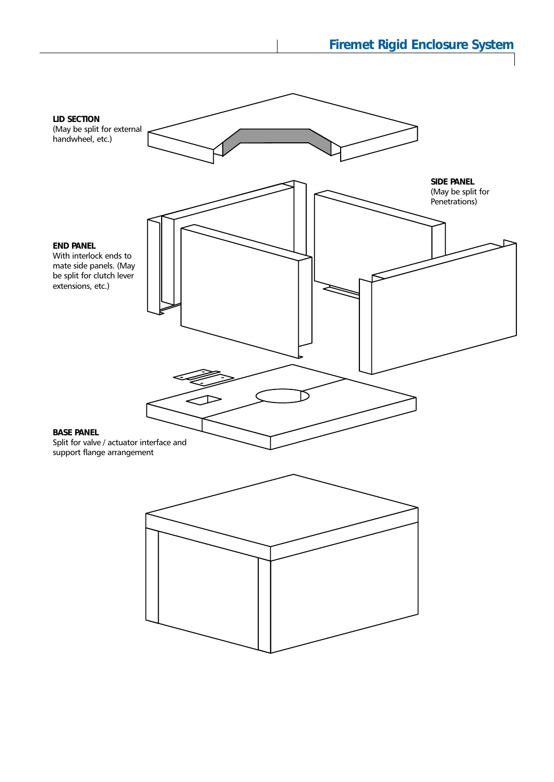